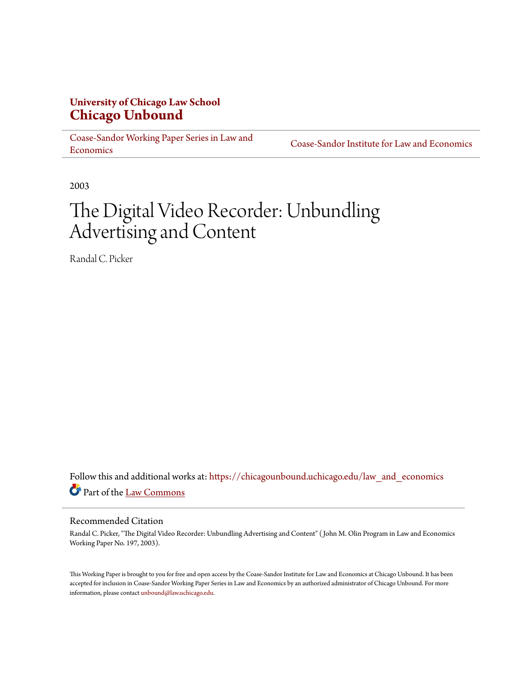# **University of Chicago Law School [Chicago Unbound](https://chicagounbound.uchicago.edu?utm_source=chicagounbound.uchicago.edu%2Flaw_and_economics%2F503&utm_medium=PDF&utm_campaign=PDFCoverPages)**

[Coase-Sandor Working Paper Series in Law and](https://chicagounbound.uchicago.edu/law_and_economics?utm_source=chicagounbound.uchicago.edu%2Flaw_and_economics%2F503&utm_medium=PDF&utm_campaign=PDFCoverPages) [Economics](https://chicagounbound.uchicago.edu/law_and_economics?utm_source=chicagounbound.uchicago.edu%2Flaw_and_economics%2F503&utm_medium=PDF&utm_campaign=PDFCoverPages)

[Coase-Sandor Institute for Law and Economics](https://chicagounbound.uchicago.edu/coase_sandor_institute?utm_source=chicagounbound.uchicago.edu%2Flaw_and_economics%2F503&utm_medium=PDF&utm_campaign=PDFCoverPages)

2003

# The Digital Video Recorder: Unbundling Advertising and Content

Randal C. Picker

Follow this and additional works at: [https://chicagounbound.uchicago.edu/law\\_and\\_economics](https://chicagounbound.uchicago.edu/law_and_economics?utm_source=chicagounbound.uchicago.edu%2Flaw_and_economics%2F503&utm_medium=PDF&utm_campaign=PDFCoverPages) Part of the [Law Commons](http://network.bepress.com/hgg/discipline/578?utm_source=chicagounbound.uchicago.edu%2Flaw_and_economics%2F503&utm_medium=PDF&utm_campaign=PDFCoverPages)

#### Recommended Citation

Randal C. Picker, "The Digital Video Recorder: Unbundling Advertising and Content" ( John M. Olin Program in Law and Economics Working Paper No. 197, 2003).

This Working Paper is brought to you for free and open access by the Coase-Sandor Institute for Law and Economics at Chicago Unbound. It has been accepted for inclusion in Coase-Sandor Working Paper Series in Law and Economics by an authorized administrator of Chicago Unbound. For more information, please contact [unbound@law.uchicago.edu.](mailto:unbound@law.uchicago.edu)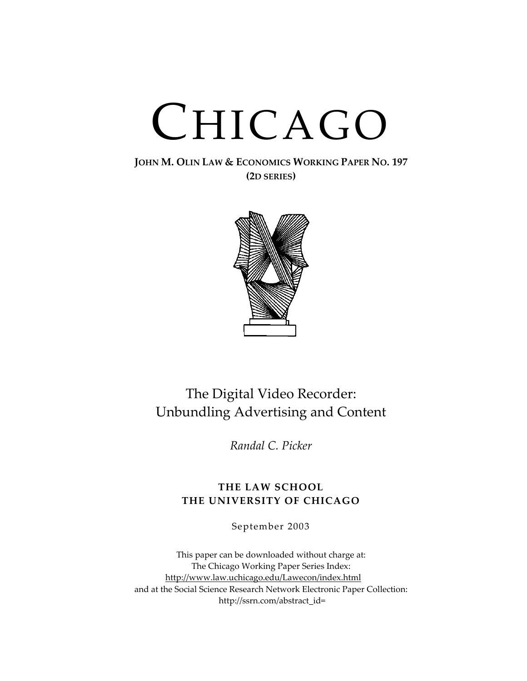# CHICAGO

**JOHN M. OLIN LAW & ECONOMICS WORKING PAPER NO. 197 (2D SERIES)**



# The Digital Video Recorder: Unbundling Advertising and Content

*Randal C. Picker*

## **THE LAW SCHOOL THE UNIVERSITY OF CHICAGO**

September 2003

This paper can be downloaded without charge at: The Chicago Working Paper Series Index: [http://www.law.uchicago.edu/Lawecon/index.html](http://www.law.uchicago.edu/Publications/Working/index.html) and at the Social Science Research Network Electronic Paper Collection: [http://ssrn.com/abstract\\_id=](http://papers.ssrn.com/sol3/search.taf)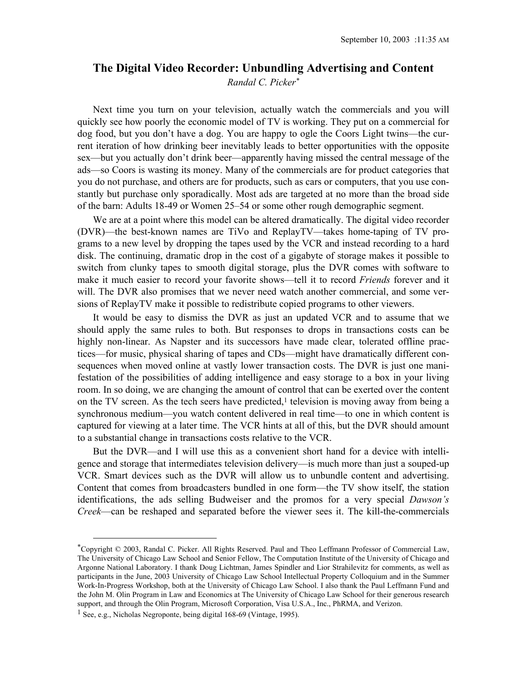## **The Digital Video Recorder: Unbundling Advertising and Content**

*Randal C. Picker[\\*](#page-2-0)*

Next time you turn on your television, actually watch the commercials and you will quickly see how poorly the economic model of TV is working. They put on a commercial for dog food, but you don't have a dog. You are happy to ogle the Coors Light twins—the current iteration of how drinking beer inevitably leads to better opportunities with the opposite sex—but you actually don't drink beer—apparently having missed the central message of the ads—so Coors is wasting its money. Many of the commercials are for product categories that you do not purchase, and others are for products, such as cars or computers, that you use constantly but purchase only sporadically. Most ads are targeted at no more than the broad side of the barn: Adults 18-49 or Women 25–54 or some other rough demographic segment.

We are at a point where this model can be altered dramatically. The digital video recorder (DVR)—the best-known names are TiVo and ReplayTV—takes home-taping of TV programs to a new level by dropping the tapes used by the VCR and instead recording to a hard disk. The continuing, dramatic drop in the cost of a gigabyte of storage makes it possible to switch from clunky tapes to smooth digital storage, plus the DVR comes with software to make it much easier to record your favorite shows—tell it to record *Friends* forever and it will. The DVR also promises that we never need watch another commercial, and some versions of ReplayTV make it possible to redistribute copied programs to other viewers.

It would be easy to dismiss the DVR as just an updated VCR and to assume that we should apply the same rules to both. But responses to drops in transactions costs can be highly non-linear. As Napster and its successors have made clear, tolerated offline practices—for music, physical sharing of tapes and CDs—might have dramatically different consequences when moved online at vastly lower transaction costs. The DVR is just one manifestation of the possibilities of adding intelligence and easy storage to a box in your living room. In so doing, we are changing the amount of control that can be exerted over the content on the TV screen. As the tech seers have predicted, $<sup>1</sup>$  television is moving away from being a</sup> synchronous medium—you watch content delivered in real time—to one in which content is captured for viewing at a later time. The VCR hints at all of this, but the DVR should amount to a substantial change in transactions costs relative to the VCR.

But the DVR—and I will use this as a convenient short hand for a device with intelligence and storage that intermediates television delivery—is much more than just a souped-up VCR. Smart devices such as the DVR will allow us to unbundle content and advertising. Content that comes from broadcasters bundled in one form—the TV show itself, the station identifications, the ads selling Budweiser and the promos for a very special *Dawson's Creek*—can be reshaped and separated before the viewer sees it. The kill-the-commercials

<span id="page-2-0"></span> <sup>\*</sup>Copyright © 2003, Randal C. Picker. All Rights Reserved. Paul and Theo Leffmann Professor of Commercial Law, The University of Chicago Law School and Senior Fellow, The Computation Institute of the University of Chicago and Argonne National Laboratory. I thank Doug Lichtman, James Spindler and Lior Strahilevitz for comments, as well as participants in the June, 2003 University of Chicago Law School Intellectual Property Colloquium and in the Summer Work-In-Progress Workshop, both at the University of Chicago Law School. I also thank the Paul Leffmann Fund and the John M. Olin Program in Law and Economics at The University of Chicago Law School for their generous research support, and through the Olin Program, Microsoft Corporation, Visa U.S.A., Inc., PhRMA, and Verizon.

<span id="page-2-1"></span><sup>1</sup> See, e.g., Nicholas Negroponte, being digital 168-69 (Vintage, 1995).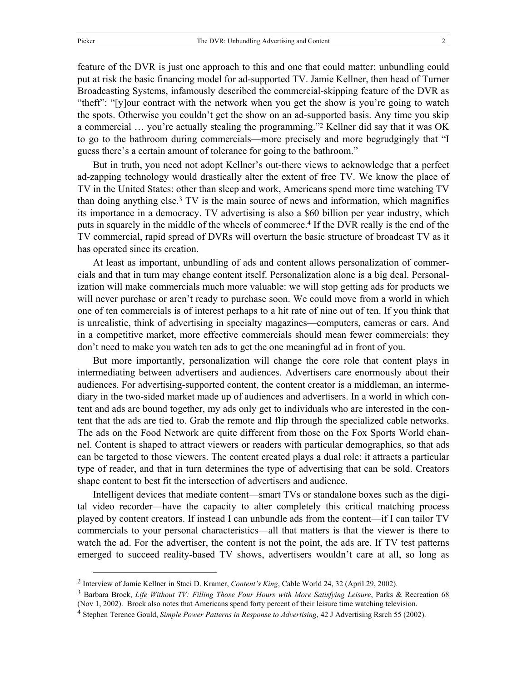feature of the DVR is just one approach to this and one that could matter: unbundling could put at risk the basic financing model for ad-supported TV. Jamie Kellner, then head of Turner Broadcasting Systems, infamously described the commercial-skipping feature of the DVR as "theft": "[y]our contract with the network when you get the show is you're going to watch the spots. Otherwise you couldn't get the show on an ad-supported basis. Any time you skip a commercial … you're actually stealing the programming."[2](#page-3-0) Kellner did say that it was OK to go to the bathroom during commercials—more precisely and more begrudgingly that "I guess there's a certain amount of tolerance for going to the bathroom."

But in truth, you need not adopt Kellner's out-there views to acknowledge that a perfect ad-zapping technology would drastically alter the extent of free TV. We know the place of TV in the United States: other than sleep and work, Americans spend more time watching TV than doing anything else.[3](#page-3-1) TV is the main source of news and information, which magnifies its importance in a democracy. TV advertising is also a \$60 billion per year industry, which puts in squarely in the middle of the wheels of commerce[.4](#page-3-2) If the DVR really is the end of the TV commercial, rapid spread of DVRs will overturn the basic structure of broadcast TV as it has operated since its creation.

At least as important, unbundling of ads and content allows personalization of commercials and that in turn may change content itself. Personalization alone is a big deal. Personalization will make commercials much more valuable: we will stop getting ads for products we will never purchase or aren't ready to purchase soon. We could move from a world in which one of ten commercials is of interest perhaps to a hit rate of nine out of ten. If you think that is unrealistic, think of advertising in specialty magazines—computers, cameras or cars. And in a competitive market, more effective commercials should mean fewer commercials: they don't need to make you watch ten ads to get the one meaningful ad in front of you.

But more importantly, personalization will change the core role that content plays in intermediating between advertisers and audiences. Advertisers care enormously about their audiences. For advertising-supported content, the content creator is a middleman, an intermediary in the two-sided market made up of audiences and advertisers. In a world in which content and ads are bound together, my ads only get to individuals who are interested in the content that the ads are tied to. Grab the remote and flip through the specialized cable networks. The ads on the Food Network are quite different from those on the Fox Sports World channel. Content is shaped to attract viewers or readers with particular demographics, so that ads can be targeted to those viewers. The content created plays a dual role: it attracts a particular type of reader, and that in turn determines the type of advertising that can be sold. Creators shape content to best fit the intersection of advertisers and audience.

Intelligent devices that mediate content—smart TVs or standalone boxes such as the digital video recorder—have the capacity to alter completely this critical matching process played by content creators. If instead I can unbundle ads from the content—if I can tailor TV commercials to your personal characteristics—all that matters is that the viewer is there to watch the ad. For the advertiser, the content is not the point, the ads are. If TV test patterns emerged to succeed reality-based TV shows, advertisers wouldn't care at all, so long as

<span id="page-3-0"></span> <sup>2</sup> Interview of Jamie Kellner in Staci D. Kramer, *Content's King*, Cable World 24, 32 (April 29, 2002).

<span id="page-3-1"></span><sup>3</sup> Barbara Brock, *Life Without TV: Filling Those Four Hours with More Satisfying Leisure*, Parks & Recreation 68 (Nov 1, 2002). Brock also notes that Americans spend forty percent of their leisure time watching television.

<span id="page-3-2"></span><sup>4</sup> Stephen Terence Gould, *Simple Power Patterns in Response to Advertising*, 42 J Advertising Rsrch 55 (2002).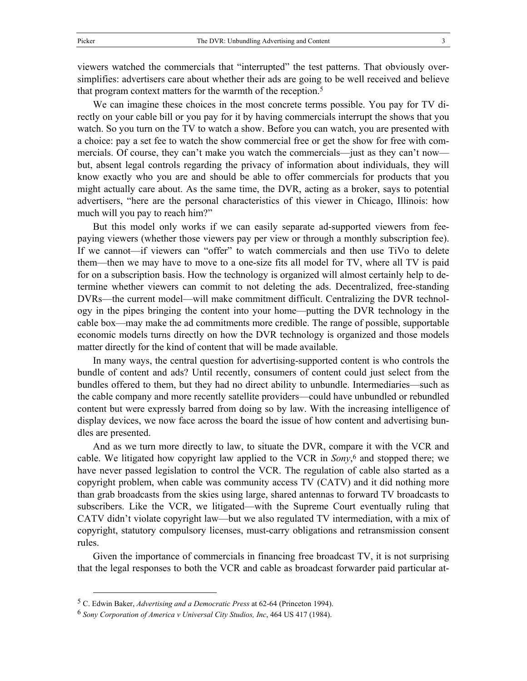viewers watched the commercials that "interrupted" the test patterns. That obviously oversimplifies: advertisers care about whether their ads are going to be well received and believe that program context matters for the warmth of the reception[.5](#page-4-0)

We can imagine these choices in the most concrete terms possible. You pay for TV directly on your cable bill or you pay for it by having commercials interrupt the shows that you watch. So you turn on the TV to watch a show. Before you can watch, you are presented with a choice: pay a set fee to watch the show commercial free or get the show for free with commercials. Of course, they can't make you watch the commercials—just as they can't now but, absent legal controls regarding the privacy of information about individuals, they will know exactly who you are and should be able to offer commercials for products that you might actually care about. As the same time, the DVR, acting as a broker, says to potential advertisers, "here are the personal characteristics of this viewer in Chicago, Illinois: how much will you pay to reach him?"

But this model only works if we can easily separate ad-supported viewers from feepaying viewers (whether those viewers pay per view or through a monthly subscription fee). If we cannot—if viewers can "offer" to watch commercials and then use TiVo to delete them—then we may have to move to a one-size fits all model for TV, where all TV is paid for on a subscription basis. How the technology is organized will almost certainly help to determine whether viewers can commit to not deleting the ads. Decentralized, free-standing DVRs—the current model—will make commitment difficult. Centralizing the DVR technology in the pipes bringing the content into your home—putting the DVR technology in the cable box—may make the ad commitments more credible. The range of possible, supportable economic models turns directly on how the DVR technology is organized and those models matter directly for the kind of content that will be made available.

In many ways, the central question for advertising-supported content is who controls the bundle of content and ads? Until recently, consumers of content could just select from the bundles offered to them, but they had no direct ability to unbundle. Intermediaries—such as the cable company and more recently satellite providers—could have unbundled or rebundled content but were expressly barred from doing so by law. With the increasing intelligence of display devices, we now face across the board the issue of how content and advertising bundles are presented.

And as we turn more directly to law, to situate the DVR, compare it with the VCR and cable. We litigated how copyright law applied to the VCR in *Sony*, [6](#page-4-1) and stopped there; we have never passed legislation to control the VCR. The regulation of cable also started as a copyright problem, when cable was community access TV (CATV) and it did nothing more than grab broadcasts from the skies using large, shared antennas to forward TV broadcasts to subscribers. Like the VCR, we litigated—with the Supreme Court eventually ruling that CATV didn't violate copyright law—but we also regulated TV intermediation, with a mix of copyright, statutory compulsory licenses, must-carry obligations and retransmission consent rules.

Given the importance of commercials in financing free broadcast TV, it is not surprising that the legal responses to both the VCR and cable as broadcast forwarder paid particular at-

<span id="page-4-0"></span> <sup>5</sup> C. Edwin Baker, *Advertising and a Democratic Press* at 62-64 (Princeton 1994).

<span id="page-4-1"></span><sup>6</sup> *Sony Corporation of America v Universal City Studios, Inc*, 464 US 417 (1984).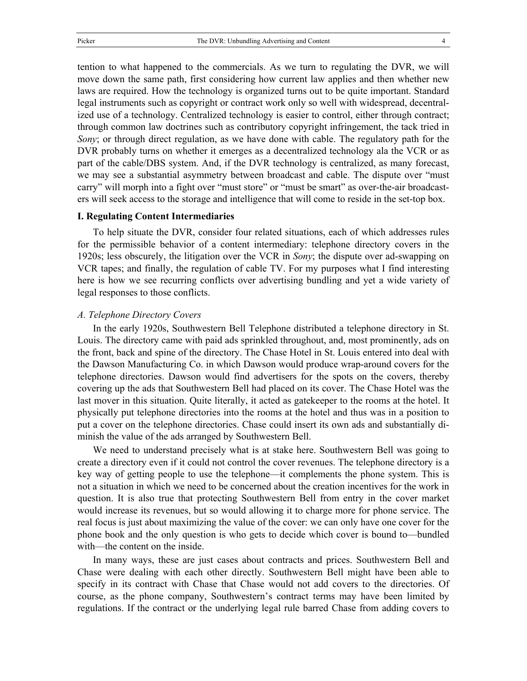tention to what happened to the commercials. As we turn to regulating the DVR, we will move down the same path, first considering how current law applies and then whether new laws are required. How the technology is organized turns out to be quite important. Standard legal instruments such as copyright or contract work only so well with widespread, decentralized use of a technology. Centralized technology is easier to control, either through contract; through common law doctrines such as contributory copyright infringement, the tack tried in *Sony*; or through direct regulation, as we have done with cable. The regulatory path for the DVR probably turns on whether it emerges as a decentralized technology ala the VCR or as part of the cable/DBS system. And, if the DVR technology is centralized, as many forecast, we may see a substantial asymmetry between broadcast and cable. The dispute over "must carry" will morph into a fight over "must store" or "must be smart" as over-the-air broadcasters will seek access to the storage and intelligence that will come to reside in the set-top box.

#### **I. Regulating Content Intermediaries**

To help situate the DVR, consider four related situations, each of which addresses rules for the permissible behavior of a content intermediary: telephone directory covers in the 1920s; less obscurely, the litigation over the VCR in *Sony*; the dispute over ad-swapping on VCR tapes; and finally, the regulation of cable TV. For my purposes what I find interesting here is how we see recurring conflicts over advertising bundling and yet a wide variety of legal responses to those conflicts.

#### *A. Telephone Directory Covers*

In the early 1920s, Southwestern Bell Telephone distributed a telephone directory in St. Louis. The directory came with paid ads sprinkled throughout, and, most prominently, ads on the front, back and spine of the directory. The Chase Hotel in St. Louis entered into deal with the Dawson Manufacturing Co. in which Dawson would produce wrap-around covers for the telephone directories. Dawson would find advertisers for the spots on the covers, thereby covering up the ads that Southwestern Bell had placed on its cover. The Chase Hotel was the last mover in this situation. Quite literally, it acted as gatekeeper to the rooms at the hotel. It physically put telephone directories into the rooms at the hotel and thus was in a position to put a cover on the telephone directories. Chase could insert its own ads and substantially diminish the value of the ads arranged by Southwestern Bell.

We need to understand precisely what is at stake here. Southwestern Bell was going to create a directory even if it could not control the cover revenues. The telephone directory is a key way of getting people to use the telephone—it complements the phone system. This is not a situation in which we need to be concerned about the creation incentives for the work in question. It is also true that protecting Southwestern Bell from entry in the cover market would increase its revenues, but so would allowing it to charge more for phone service. The real focus is just about maximizing the value of the cover: we can only have one cover for the phone book and the only question is who gets to decide which cover is bound to—bundled with—the content on the inside.

In many ways, these are just cases about contracts and prices. Southwestern Bell and Chase were dealing with each other directly. Southwestern Bell might have been able to specify in its contract with Chase that Chase would not add covers to the directories. Of course, as the phone company, Southwestern's contract terms may have been limited by regulations. If the contract or the underlying legal rule barred Chase from adding covers to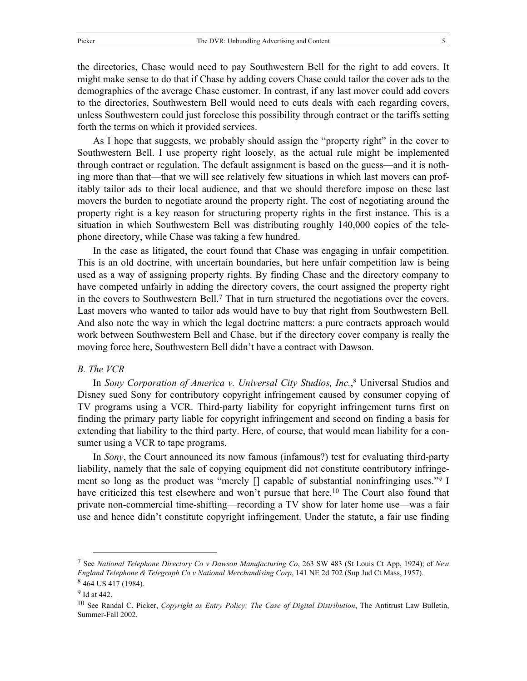the directories, Chase would need to pay Southwestern Bell for the right to add covers. It might make sense to do that if Chase by adding covers Chase could tailor the cover ads to the demographics of the average Chase customer. In contrast, if any last mover could add covers to the directories, Southwestern Bell would need to cuts deals with each regarding covers, unless Southwestern could just foreclose this possibility through contract or the tariffs setting forth the terms on which it provided services.

As I hope that suggests, we probably should assign the "property right" in the cover to Southwestern Bell. I use property right loosely, as the actual rule might be implemented through contract or regulation. The default assignment is based on the guess—and it is nothing more than that—that we will see relatively few situations in which last movers can profitably tailor ads to their local audience, and that we should therefore impose on these last movers the burden to negotiate around the property right. The cost of negotiating around the property right is a key reason for structuring property rights in the first instance. This is a situation in which Southwestern Bell was distributing roughly 140,000 copies of the telephone directory, while Chase was taking a few hundred.

In the case as litigated, the court found that Chase was engaging in unfair competition. This is an old doctrine, with uncertain boundaries, but here unfair competition law is being used as a way of assigning property rights. By finding Chase and the directory company to have competed unfairly in adding the directory covers, the court assigned the property right in the covers to Southwestern Bell[.7](#page-6-0) That in turn structured the negotiations over the covers. Last movers who wanted to tailor ads would have to buy that right from Southwestern Bell. And also note the way in which the legal doctrine matters: a pure contracts approach would work between Southwestern Bell and Chase, but if the directory cover company is really the moving force here, Southwestern Bell didn't have a contract with Dawson.

#### *B. The VCR*

In *Sony Corporation of America v. Universal City Studios, Inc.*, [8](#page-6-1) Universal Studios and Disney sued Sony for contributory copyright infringement caused by consumer copying of TV programs using a VCR. Third-party liability for copyright infringement turns first on finding the primary party liable for copyright infringement and second on finding a basis for extending that liability to the third party. Here, of course, that would mean liability for a consumer using a VCR to tape programs.

In *Sony*, the Court announced its now famous (infamous?) test for evaluating third-party liability, namely that the sale of copying equipment did not constitute contributory infringement so long as the product was "merely [] capable of substantial noninfringing uses.["9](#page-6-2) I have criticized this test elsewhere and won't pursue that here.<sup>10</sup> The Court also found that private non-commercial time-shifting—recording a TV show for later home use—was a fair use and hence didn't constitute copyright infringement. Under the statute, a fair use finding

<span id="page-6-0"></span> <sup>7</sup> See *National Telephone Directory Co v Dawson Manufacturing Co*, 263 SW 483 (St Louis Ct App, 1924); cf *New England Telephone & Telegraph Co v National Merchandising Corp*, 141 NE 2d 702 (Sup Jud Ct Mass, 1957). 8 464 US 417 (1984).

<span id="page-6-2"></span><span id="page-6-1"></span><sup>9</sup> Id at 442.

<span id="page-6-3"></span><sup>10</sup> See Randal C. Picker, *Copyright as Entry Policy: The Case of Digital Distribution*, The Antitrust Law Bulletin, Summer-Fall 2002.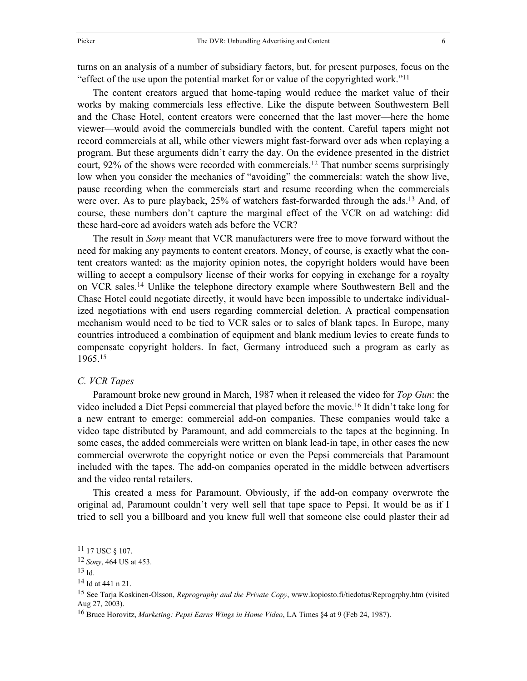turns on an analysis of a number of subsidiary factors, but, for present purposes, focus on the "effect of the use upon the potential market for or value of the copyrighted work.["11](#page-7-0)

The content creators argued that home-taping would reduce the market value of their works by making commercials less effective. Like the dispute between Southwestern Bell and the Chase Hotel, content creators were concerned that the last mover—here the home viewer—would avoid the commercials bundled with the content. Careful tapers might not record commercials at all, while other viewers might fast-forward over ads when replaying a program. But these arguments didn't carry the day. On the evidence presented in the district court, 92% of the shows were recorded with commercials.<sup>12</sup> That number seems surprisingly low when you consider the mechanics of "avoiding" the commercials: watch the show live, pause recording when the commercials start and resume recording when the commercials were over. As to pure playback, 25% of watchers fast-forwarded through the ads[.13](#page-7-2) And, of course, these numbers don't capture the marginal effect of the VCR on ad watching: did these hard-core ad avoiders watch ads before the VCR?

The result in *Sony* meant that VCR manufacturers were free to move forward without the need for making any payments to content creators. Money, of course, is exactly what the content creators wanted: as the majority opinion notes, the copyright holders would have been willing to accept a compulsory license of their works for copying in exchange for a royalty on VCR sales[.14](#page-7-3) Unlike the telephone directory example where Southwestern Bell and the Chase Hotel could negotiate directly, it would have been impossible to undertake individualized negotiations with end users regarding commercial deletion. A practical compensation mechanism would need to be tied to VCR sales or to sales of blank tapes. In Europe, many countries introduced a combination of equipment and blank medium levies to create funds to compensate copyright holders. In fact, Germany introduced such a program as early as 1965.[15](#page-7-4)

#### *C. VCR Tapes*

Paramount broke new ground in March, 1987 when it released the video for *Top Gun*: the video included a Diet Pepsi commercial that played before the movie.[16 I](#page-7-5)t didn't take long for a new entrant to emerge: commercial add-on companies. These companies would take a video tape distributed by Paramount, and add commercials to the tapes at the beginning. In some cases, the added commercials were written on blank lead-in tape, in other cases the new commercial overwrote the copyright notice or even the Pepsi commercials that Paramount included with the tapes. The add-on companies operated in the middle between advertisers and the video rental retailers.

This created a mess for Paramount. Obviously, if the add-on company overwrote the original ad, Paramount couldn't very well sell that tape space to Pepsi. It would be as if I tried to sell you a billboard and you knew full well that someone else could plaster their ad

<span id="page-7-0"></span> <sup>11 17</sup> USC § 107.

<span id="page-7-1"></span><sup>12</sup> *Sony*, 464 US at 453.

<span id="page-7-2"></span> $13$  Id.

<span id="page-7-3"></span><sup>14</sup> Id at 441 n 21.

<span id="page-7-4"></span><sup>15</sup> See Tarja Koskinen-Olsson, *Reprography and the Private Copy*, www.kopiosto.fi/tiedotus/Reprogrphy.htm (visited Aug 27, 2003).

<span id="page-7-5"></span><sup>16</sup> Bruce Horovitz, *Marketing: Pepsi Earns Wings in Home Video*, LA Times §4 at 9 (Feb 24, 1987).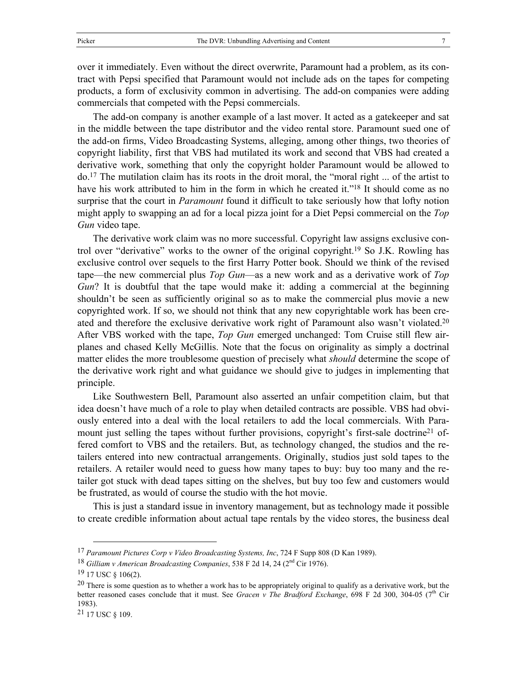over it immediately. Even without the direct overwrite, Paramount had a problem, as its contract with Pepsi specified that Paramount would not include ads on the tapes for competing products, a form of exclusivity common in advertising. The add-on companies were adding commercials that competed with the Pepsi commercials.

The add-on company is another example of a last mover. It acted as a gatekeeper and sat in the middle between the tape distributor and the video rental store. Paramount sued one of the add-on firms, Video Broadcasting Systems, alleging, among other things, two theories of copyright liability, first that VBS had mutilated its work and second that VBS had created a derivative work, something that only the copyright holder Paramount would be allowed to do[.17](#page-8-0) The mutilation claim has its roots in the droit moral, the "moral right ... of the artist to have his work attributed to him in the form in which he created it.["18](#page-8-1) It should come as no surprise that the court in *Paramount* found it difficult to take seriously how that lofty notion might apply to swapping an ad for a local pizza joint for a Diet Pepsi commercial on the *Top Gun* video tape.

The derivative work claim was no more successful. Copyright law assigns exclusive control over "derivative" works to the owner of the original copyright[.19](#page-8-2) So J.K. Rowling has exclusive control over sequels to the first Harry Potter book. Should we think of the revised tape—the new commercial plus *Top Gun*—as a new work and as a derivative work of *Top Gun*? It is doubtful that the tape would make it: adding a commercial at the beginning shouldn't be seen as sufficiently original so as to make the commercial plus movie a new copyrighted work. If so, we should not think that any new copyrightable work has been created and therefore the exclusive derivative work right of Paramount also wasn't violated[.20](#page-8-3) After VBS worked with the tape, *Top Gun* emerged unchanged: Tom Cruise still flew airplanes and chased Kelly McGillis. Note that the focus on originality as simply a doctrinal matter elides the more troublesome question of precisely what *should* determine the scope of the derivative work right and what guidance we should give to judges in implementing that principle.

Like Southwestern Bell, Paramount also asserted an unfair competition claim, but that idea doesn't have much of a role to play when detailed contracts are possible. VBS had obviously entered into a deal with the local retailers to add the local commercials. With Paramount just selling the tapes without further provisions, copyright's first-sale doctrine<sup>21</sup> offered comfort to VBS and the retailers. But, as technology changed, the studios and the retailers entered into new contractual arrangements. Originally, studios just sold tapes to the retailers. A retailer would need to guess how many tapes to buy: buy too many and the retailer got stuck with dead tapes sitting on the shelves, but buy too few and customers would be frustrated, as would of course the studio with the hot movie.

This is just a standard issue in inventory management, but as technology made it possible to create credible information about actual tape rentals by the video stores, the business deal

<span id="page-8-4"></span> $21$  17 USC § 109.

<span id="page-8-0"></span> <sup>17</sup> *Paramount Pictures Corp v Video Broadcasting Systems, Inc*, 724 F Supp 808 (D Kan 1989).

<span id="page-8-1"></span><sup>18</sup> *Gilliam v American Broadcasting Companies*, 538 F 2d 14, 24 (2nd Cir 1976).

<span id="page-8-2"></span><sup>19 17</sup> USC § 106(2).

<span id="page-8-3"></span><sup>&</sup>lt;sup>20</sup> There is some question as to whether a work has to be appropriately original to qualify as a derivative work, but the better reasoned cases conclude that it must. See *Gracen v The Bradford Exchange*, 698 F 2d 300, 304-05 (7<sup>th</sup> Cir 1983).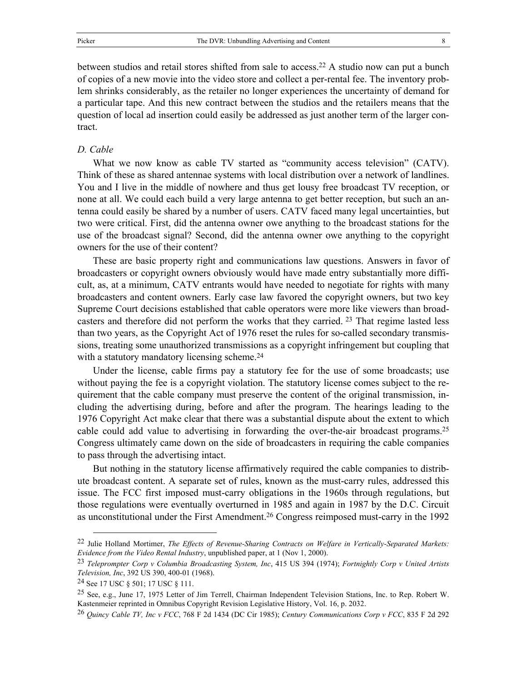#### *D. Cable*

<span id="page-9-4"></span>tract.

What we now know as cable TV started as "community access television" (CATV). Think of these as shared antennae systems with local distribution over a network of landlines. You and I live in the middle of nowhere and thus get lousy free broadcast TV reception, or none at all. We could each build a very large antenna to get better reception, but such an antenna could easily be shared by a number of users. CATV faced many legal uncertainties, but two were critical. First, did the antenna owner owe anything to the broadcast stations for the use of the broadcast signal? Second, did the antenna owner owe anything to the copyright owners for the use of their content?

These are basic property right and communications law questions. Answers in favor of broadcasters or copyright owners obviously would have made entry substantially more difficult, as, at a minimum, CATV entrants would have needed to negotiate for rights with many broadcasters and content owners. Early case law favored the copyright owners, but two key Supreme Court decisions established that cable operators were more like viewers than broadcasters and therefore did not perform the works that they carried. [23](#page-9-1) That regime lasted less than two years, as the Copyright Act of 1976 reset the rules for so-called secondary transmissions, treating some unauthorized transmissions as a copyright infringement but coupling that with a statutory mandatory licensing scheme.<sup>[24](#page-9-2)</sup>

Under the license, cable firms pay a statutory fee for the use of some broadcasts; use without paying the fee is a copyright violation. The statutory license comes subject to the requirement that the cable company must preserve the content of the original transmission, including the advertising during, before and after the program. The hearings leading to the 1976 Copyright Act make clear that there was a substantial dispute about the extent to which cable could add value to advertising in forwarding the over-the-air broadcast programs[.25](#page-9-3) Congress ultimately came down on the side of broadcasters in requiring the cable companies to pass through the advertising intact.

But nothing in the statutory license affirmatively required the cable companies to distribute broadcast content. A separate set of rules, known as the must-carry rules, addressed this issue. The FCC first imposed must-carry obligations in the 1960s through regulations, but those regulations were eventually overturned in 1985 and again in 1987 by the D.C. Circuit as unconstitutional under the First Amendment.[26 C](#page-9-4)ongress reimposed must-carry in the 1992

<span id="page-9-0"></span> <sup>22</sup> Julie Holland Mortimer, *The Effects of Revenue-Sharing Contracts on Welfare in Vertically-Separated Markets: Evidence from the Video Rental Industry*, unpublished paper, at 1 (Nov 1, 2000).

<span id="page-9-1"></span><sup>23</sup> *Teleprompter Corp v Columbia Broadcasting System, Inc*, 415 US 394 (1974); *Fortnightly Corp v United Artists Television, Inc*, 392 US 390, 400-01 (1968).

<span id="page-9-2"></span><sup>24</sup> See 17 USC § 501; 17 USC § 111.

<span id="page-9-3"></span><sup>25</sup> See, e.g., June 17, 1975 Letter of Jim Terrell, Chairman Independent Television Stations, Inc. to Rep. Robert W. Kastenmeier reprinted in Omnibus Copyright Revision Legislative History, Vol. 16, p. 2032.

<sup>26</sup> *Quincy Cable TV, Inc v FCC*, 768 F 2d 1434 (DC Cir 1985); *Century Communications Corp v FCC*, 835 F 2d 292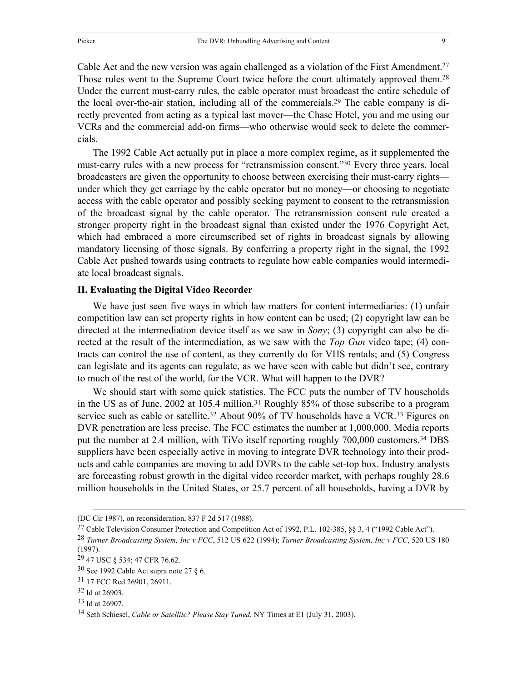Cable Act and the new version was again challenged as a violation of the First Amendment.<sup>27</sup> Those rules went to the Supreme Court twice before the court ultimately approved them.<sup>28</sup> Under the current must-carry rules, the cable operator must broadcast the entire schedule of the local over-the-air station, including all of the commercials.[29](#page-10-2) The cable company is directly prevented from acting as a typical last mover—the Chase Hotel, you and me using our VCRs and the commercial add-on firms—who otherwise would seek to delete the commercials.

The 1992 Cable Act actually put in place a more complex regime, as it supplemented the must-carry rules with a new process for "retransmission consent."[30](#page-10-3) Every three years, local broadcasters are given the opportunity to choose between exercising their must-carry rights under which they get carriage by the cable operator but no money—or choosing to negotiate access with the cable operator and possibly seeking payment to consent to the retransmission of the broadcast signal by the cable operator. The retransmission consent rule created a stronger property right in the broadcast signal than existed under the 1976 Copyright Act, which had embraced a more circumscribed set of rights in broadcast signals by allowing mandatory licensing of those signals. By conferring a property right in the signal, the 1992 Cable Act pushed towards using contracts to regulate how cable companies would intermediate local broadcast signals.

#### **II. Evaluating the Digital Video Recorder**

We have just seen five ways in which law matters for content intermediaries: (1) unfair competition law can set property rights in how content can be used; (2) copyright law can be directed at the intermediation device itself as we saw in *Sony*; (3) copyright can also be directed at the result of the intermediation, as we saw with the *Top Gun* video tape; (4) contracts can control the use of content, as they currently do for VHS rentals; and (5) Congress can legislate and its agents can regulate, as we have seen with cable but didn't see, contrary to much of the rest of the world, for the VCR. What will happen to the DVR?

We should start with some quick statistics. The FCC puts the number of TV households in the US as of June, 2002 at 105.4 million.[31 R](#page-10-4)oughly 85% of those subscribe to a program service such as cable or satellite.<sup>32</sup> About 90% of TV households have a VCR.<sup>33</sup> Figures on DVR penetration are less precise. The FCC estimates the number at 1,000,000. Media reports put the number at 2.4 million, with TiVo itself reporting roughly 700,000 customers.<sup>34</sup> DBS suppliers have been especially active in moving to integrate DVR technology into their products and cable companies are moving to add DVRs to the cable set-top box. Industry analysts are forecasting robust growth in the digital video recorder market, with perhaps roughly 28.6 million households in the United States, or 25.7 percent of all households, having a DVR by

<span id="page-10-0"></span><sup>27</sup> Cable Television Consumer Protection and Competition Act of 1992, P.L. 102-385, §§ 3, 4 ("1992 Cable Act").

 <sup>(</sup>DC Cir 1987), on reconsideration, 837 F 2d 517 (1988).

<span id="page-10-1"></span><sup>28</sup> *Turner Broadcasting System, Inc v FCC*, 512 US 622 (1994); *Turner Broadcasting System, Inc v FCC*, 520 US 180 (1997).

<span id="page-10-2"></span><sup>29 47</sup> USC § 534; 47 CFR 76.62.

<span id="page-10-3"></span> $30$  See 1992 Cable Act supra note 27 § 6.

<span id="page-10-4"></span><sup>31 17</sup> FCC Rcd 26901, 26911.

<span id="page-10-5"></span><sup>32</sup> Id at 26903.

<span id="page-10-6"></span><sup>33</sup> Id at 26907.

<span id="page-10-7"></span><sup>34</sup> Seth Schiesel, *Cable or Satellite? Please Stay Tuned*, NY Times at E1 (July 31, 2003).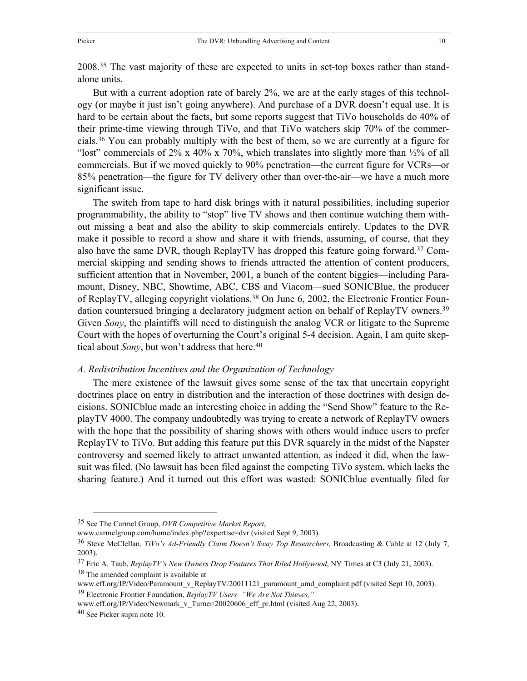2008.[35](#page-11-0) The vast majority of these are expected to units in set-top boxes rather than standalone units.

But with a current adoption rate of barely 2%, we are at the early stages of this technology (or maybe it just isn't going anywhere). And purchase of a DVR doesn't equal use. It is hard to be certain about the facts, but some reports suggest that TiVo households do 40% of their prime-time viewing through TiVo, and that TiVo watchers skip 70% of the commercials.[36](#page-11-1) You can probably multiply with the best of them, so we are currently at a figure for "lost" commercials of 2% x 40% x 70%, which translates into slightly more than  $\frac{1}{2}\%$  of all commercials. But if we moved quickly to 90% penetration—the current figure for VCRs—or 85% penetration—the figure for TV delivery other than over-the-air—we have a much more significant issue.

The switch from tape to hard disk brings with it natural possibilities, including superior programmability, the ability to "stop" live TV shows and then continue watching them without missing a beat and also the ability to skip commercials entirely. Updates to the DVR make it possible to record a show and share it with friends, assuming, of course, that they also have the same DVR, though ReplayTV has dropped this feature going forward.[37 C](#page-11-2)ommercial skipping and sending shows to friends attracted the attention of content producers, sufficient attention that in November, 2001, a bunch of the content biggies—including Paramount, Disney, NBC, Showtime, ABC, CBS and Viacom—sued SONICBlue, the producer of ReplayTV, alleging copyright violations.[38](#page-11-3) On June 6, 2002, the Electronic Frontier Foundation countersued bringing a declaratory judgment action on behalf of ReplayTV owners[.39](#page-11-4) Given *Sony*, the plaintiffs will need to distinguish the analog VCR or litigate to the Supreme Court with the hopes of overturning the Court's original 5-4 decision. Again, I am quite skeptical about *Sony*, but won't address that here.<sup>[40](#page-11-5)</sup>

#### *A. Redistribution Incentives and the Organization of Technology*

The mere existence of the lawsuit gives some sense of the tax that uncertain copyright doctrines place on entry in distribution and the interaction of those doctrines with design decisions. SONICblue made an interesting choice in adding the "Send Show" feature to the ReplayTV 4000. The company undoubtedly was trying to create a network of ReplayTV owners with the hope that the possibility of sharing shows with others would induce users to prefer ReplayTV to TiVo. But adding this feature put this DVR squarely in the midst of the Napster controversy and seemed likely to attract unwanted attention, as indeed it did, when the lawsuit was filed. (No lawsuit has been filed against the competing TiVo system, which lacks the sharing feature.) And it turned out this effort was wasted: SONICblue eventually filed for

<span id="page-11-0"></span> <sup>35</sup> See The Carmel Group, *DVR Competitive Market Report*,

www.carmelgroup.com/home/index.php?expertise=dvr (visited Sept 9, 2003).

<span id="page-11-1"></span><sup>36</sup> Steve McClellan, *TiVo's Ad-Friendly Claim Doesn't Sway Top Researchers*, Broadcasting & Cable at 12 (July 7, 2003).

<span id="page-11-3"></span><span id="page-11-2"></span><sup>37</sup> Eric A. Taub, *ReplayTV's New Owners Drop Features That Riled Hollywood*, NY Times at C3 (July 21, 2003). 38 The amended complaint is available at

<span id="page-11-4"></span>www.eff.org/IP/Video/Paramount\_v\_ReplayTV/20011121\_paramount\_amd\_complaint.pdf (visited Sept 10, 2003). 39 Electronic Frontier Foundation, *ReplayTV Users: "We Are Not Thieves,"*

www.eff.org/IP/Video/Newmark\_v\_Turner/20020606\_eff\_pr.html (visited Aug 22, 2003).

<span id="page-11-5"></span><sup>40</sup> See Picker supra note 10.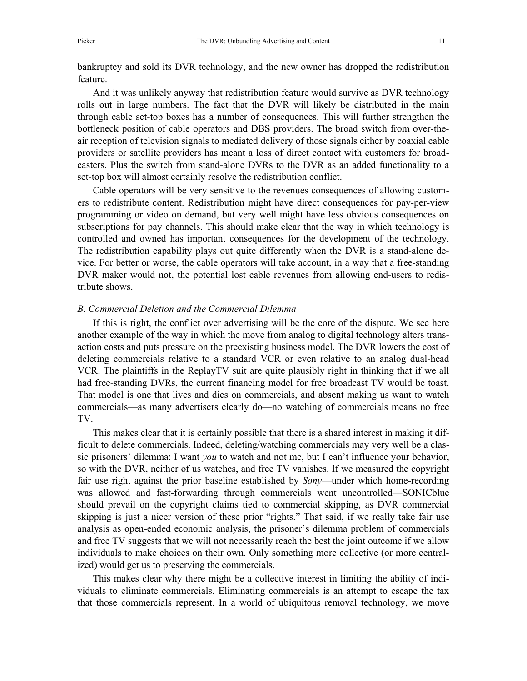bankruptcy and sold its DVR technology, and the new owner has dropped the redistribution feature.

And it was unlikely anyway that redistribution feature would survive as DVR technology rolls out in large numbers. The fact that the DVR will likely be distributed in the main through cable set-top boxes has a number of consequences. This will further strengthen the bottleneck position of cable operators and DBS providers. The broad switch from over-theair reception of television signals to mediated delivery of those signals either by coaxial cable providers or satellite providers has meant a loss of direct contact with customers for broadcasters. Plus the switch from stand-alone DVRs to the DVR as an added functionality to a set-top box will almost certainly resolve the redistribution conflict.

Cable operators will be very sensitive to the revenues consequences of allowing customers to redistribute content. Redistribution might have direct consequences for pay-per-view programming or video on demand, but very well might have less obvious consequences on subscriptions for pay channels. This should make clear that the way in which technology is controlled and owned has important consequences for the development of the technology. The redistribution capability plays out quite differently when the DVR is a stand-alone device. For better or worse, the cable operators will take account, in a way that a free-standing DVR maker would not, the potential lost cable revenues from allowing end-users to redistribute shows.

#### *B. Commercial Deletion and the Commercial Dilemma*

If this is right, the conflict over advertising will be the core of the dispute. We see here another example of the way in which the move from analog to digital technology alters transaction costs and puts pressure on the preexisting business model. The DVR lowers the cost of deleting commercials relative to a standard VCR or even relative to an analog dual-head VCR. The plaintiffs in the ReplayTV suit are quite plausibly right in thinking that if we all had free-standing DVRs, the current financing model for free broadcast TV would be toast. That model is one that lives and dies on commercials, and absent making us want to watch commercials—as many advertisers clearly do—no watching of commercials means no free TV.

This makes clear that it is certainly possible that there is a shared interest in making it difficult to delete commercials. Indeed, deleting/watching commercials may very well be a classic prisoners' dilemma: I want *you* to watch and not me, but I can't influence your behavior, so with the DVR, neither of us watches, and free TV vanishes. If we measured the copyright fair use right against the prior baseline established by *Sony*—under which home-recording was allowed and fast-forwarding through commercials went uncontrolled—SONICblue should prevail on the copyright claims tied to commercial skipping, as DVR commercial skipping is just a nicer version of these prior "rights." That said, if we really take fair use analysis as open-ended economic analysis, the prisoner's dilemma problem of commercials and free TV suggests that we will not necessarily reach the best the joint outcome if we allow individuals to make choices on their own. Only something more collective (or more centralized) would get us to preserving the commercials.

This makes clear why there might be a collective interest in limiting the ability of individuals to eliminate commercials. Eliminating commercials is an attempt to escape the tax that those commercials represent. In a world of ubiquitous removal technology, we move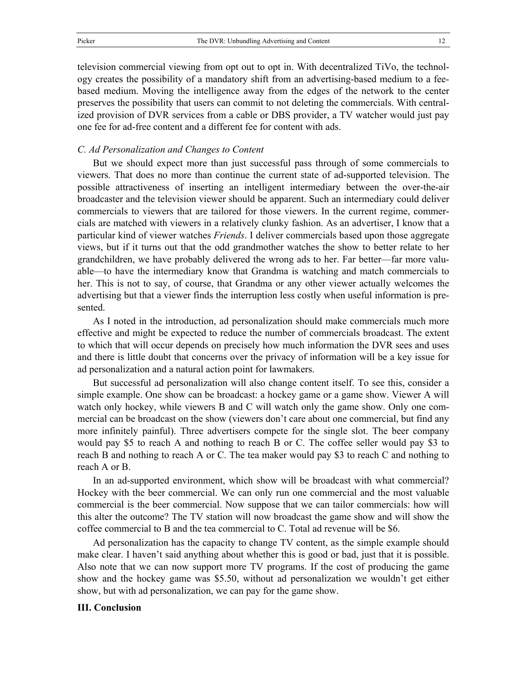television commercial viewing from opt out to opt in. With decentralized TiVo, the technology creates the possibility of a mandatory shift from an advertising-based medium to a feebased medium. Moving the intelligence away from the edges of the network to the center preserves the possibility that users can commit to not deleting the commercials. With centralized provision of DVR services from a cable or DBS provider, a TV watcher would just pay one fee for ad-free content and a different fee for content with ads.

#### *C. Ad Personalization and Changes to Content*

But we should expect more than just successful pass through of some commercials to viewers. That does no more than continue the current state of ad-supported television. The possible attractiveness of inserting an intelligent intermediary between the over-the-air broadcaster and the television viewer should be apparent. Such an intermediary could deliver commercials to viewers that are tailored for those viewers. In the current regime, commercials are matched with viewers in a relatively clunky fashion. As an advertiser, I know that a particular kind of viewer watches *Friends*. I deliver commercials based upon those aggregate views, but if it turns out that the odd grandmother watches the show to better relate to her grandchildren, we have probably delivered the wrong ads to her. Far better—far more valuable—to have the intermediary know that Grandma is watching and match commercials to her. This is not to say, of course, that Grandma or any other viewer actually welcomes the advertising but that a viewer finds the interruption less costly when useful information is presented.

As I noted in the introduction, ad personalization should make commercials much more effective and might be expected to reduce the number of commercials broadcast. The extent to which that will occur depends on precisely how much information the DVR sees and uses and there is little doubt that concerns over the privacy of information will be a key issue for ad personalization and a natural action point for lawmakers.

But successful ad personalization will also change content itself. To see this, consider a simple example. One show can be broadcast: a hockey game or a game show. Viewer A will watch only hockey, while viewers B and C will watch only the game show. Only one commercial can be broadcast on the show (viewers don't care about one commercial, but find any more infinitely painful). Three advertisers compete for the single slot. The beer company would pay \$5 to reach A and nothing to reach B or C. The coffee seller would pay \$3 to reach B and nothing to reach A or C. The tea maker would pay \$3 to reach C and nothing to reach A or B.

In an ad-supported environment, which show will be broadcast with what commercial? Hockey with the beer commercial. We can only run one commercial and the most valuable commercial is the beer commercial. Now suppose that we can tailor commercials: how will this alter the outcome? The TV station will now broadcast the game show and will show the coffee commercial to B and the tea commercial to C. Total ad revenue will be \$6.

Ad personalization has the capacity to change TV content, as the simple example should make clear. I haven't said anything about whether this is good or bad, just that it is possible. Also note that we can now support more TV programs. If the cost of producing the game show and the hockey game was \$5.50, without ad personalization we wouldn't get either show, but with ad personalization, we can pay for the game show.

#### **III. Conclusion**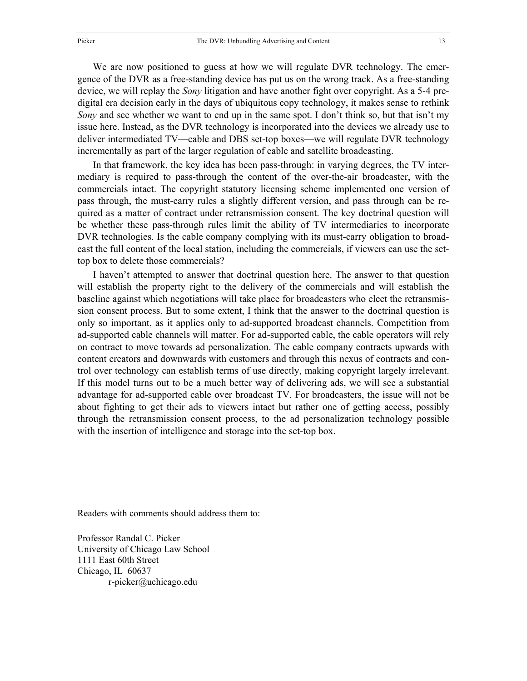We are now positioned to guess at how we will regulate DVR technology. The emergence of the DVR as a free-standing device has put us on the wrong track. As a free-standing device, we will replay the *Sony* litigation and have another fight over copyright. As a 5-4 predigital era decision early in the days of ubiquitous copy technology, it makes sense to rethink *Sony* and see whether we want to end up in the same spot. I don't think so, but that isn't my issue here. Instead, as the DVR technology is incorporated into the devices we already use to deliver intermediated TV—cable and DBS set-top boxes—we will regulate DVR technology incrementally as part of the larger regulation of cable and satellite broadcasting.

In that framework, the key idea has been pass-through: in varying degrees, the TV intermediary is required to pass-through the content of the over-the-air broadcaster, with the commercials intact. The copyright statutory licensing scheme implemented one version of pass through, the must-carry rules a slightly different version, and pass through can be required as a matter of contract under retransmission consent. The key doctrinal question will be whether these pass-through rules limit the ability of TV intermediaries to incorporate DVR technologies. Is the cable company complying with its must-carry obligation to broadcast the full content of the local station, including the commercials, if viewers can use the settop box to delete those commercials?

I haven't attempted to answer that doctrinal question here. The answer to that question will establish the property right to the delivery of the commercials and will establish the baseline against which negotiations will take place for broadcasters who elect the retransmission consent process. But to some extent, I think that the answer to the doctrinal question is only so important, as it applies only to ad-supported broadcast channels. Competition from ad-supported cable channels will matter. For ad-supported cable, the cable operators will rely on contract to move towards ad personalization. The cable company contracts upwards with content creators and downwards with customers and through this nexus of contracts and control over technology can establish terms of use directly, making copyright largely irrelevant. If this model turns out to be a much better way of delivering ads, we will see a substantial advantage for ad-supported cable over broadcast TV. For broadcasters, the issue will not be about fighting to get their ads to viewers intact but rather one of getting access, possibly through the retransmission consent process, to the ad personalization technology possible with the insertion of intelligence and storage into the set-top box.

Readers with comments should address them to:

Professor Randal C. Picker University of Chicago Law School 1111 East 60th Street Chicago, IL 60637 r-picker@uchicago.edu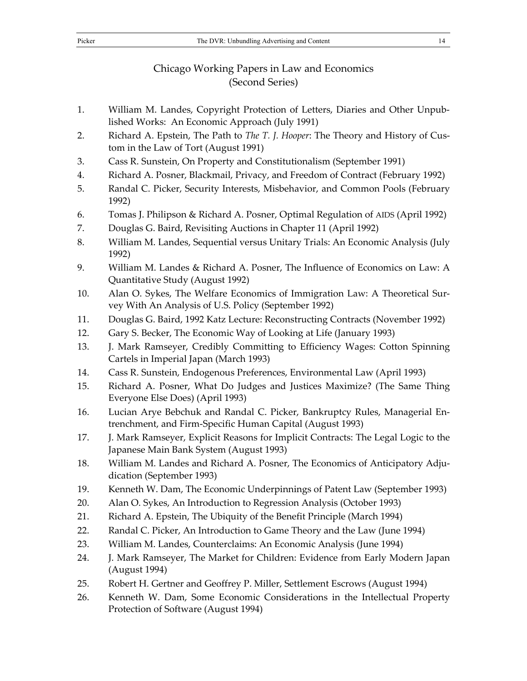#### Picker The DVR: Unbundling Advertising and Content 14

# Chicago Working Papers in Law and Economics

### (Second Series)

- 1. William M. Landes, Copyright Protection of Letters, Diaries and Other Unpublished Works: An Economic Approach (July 1991)
- 2. Richard A. Epstein, The Path to *The T. J. Hooper*: The Theory and History of Custom in the Law of Tort (August 1991)
- 3. Cass R. Sunstein, On Property and Constitutionalism (September 1991)
- 4. Richard A. Posner, Blackmail, Privacy, and Freedom of Contract (February 1992)
- 5. Randal C. Picker, Security Interests, Misbehavior, and Common Pools (February 1992)
- 6. Tomas J. Philipson & Richard A. Posner, Optimal Regulation of AIDS (April 1992)
- 7. Douglas G. Baird, Revisiting Auctions in Chapter 11 (April 1992)
- 8. William M. Landes, Sequential versus Unitary Trials: An Economic Analysis (July 1992)
- 9. William M. Landes & Richard A. Posner, The Influence of Economics on Law: A Quantitative Study (August 1992)
- 10. Alan O. Sykes, The Welfare Economics of Immigration Law: A Theoretical Survey With An Analysis of U.S. Policy (September 1992)
- 11. Douglas G. Baird, 1992 Katz Lecture: Reconstructing Contracts (November 1992)
- 12. Gary S. Becker, The Economic Way of Looking at Life (January 1993)
- 13. J. Mark Ramseyer, Credibly Committing to Efficiency Wages: Cotton Spinning Cartels in Imperial Japan (March 1993)
- 14. Cass R. Sunstein, Endogenous Preferences, Environmental Law (April 1993)
- 15. Richard A. Posner, What Do Judges and Justices Maximize? (The Same Thing Everyone Else Does) (April 1993)
- 16. Lucian Arye Bebchuk and Randal C. Picker, Bankruptcy Rules, Managerial Entrenchment, and Firm-Specific Human Capital (August 1993)
- 17. J. Mark Ramseyer, Explicit Reasons for Implicit Contracts: The Legal Logic to the Japanese Main Bank System (August 1993)
- 18. William M. Landes and Richard A. Posner, The Economics of Anticipatory Adjudication (September 1993)
- 19. Kenneth W. Dam, The Economic Underpinnings of Patent Law (September 1993)
- 20. Alan O. Sykes, An Introduction to Regression Analysis (October 1993)
- 21. Richard A. Epstein, The Ubiquity of the Benefit Principle (March 1994)
- 22. Randal C. Picker, An Introduction to Game Theory and the Law (June 1994)
- 23. William M. Landes, Counterclaims: An Economic Analysis (June 1994)
- 24. J. Mark Ramseyer, The Market for Children: Evidence from Early Modern Japan (August 1994)
- 25. Robert H. Gertner and Geoffrey P. Miller, Settlement Escrows (August 1994)
- 26. Kenneth W. Dam, Some Economic Considerations in the Intellectual Property Protection of Software (August 1994)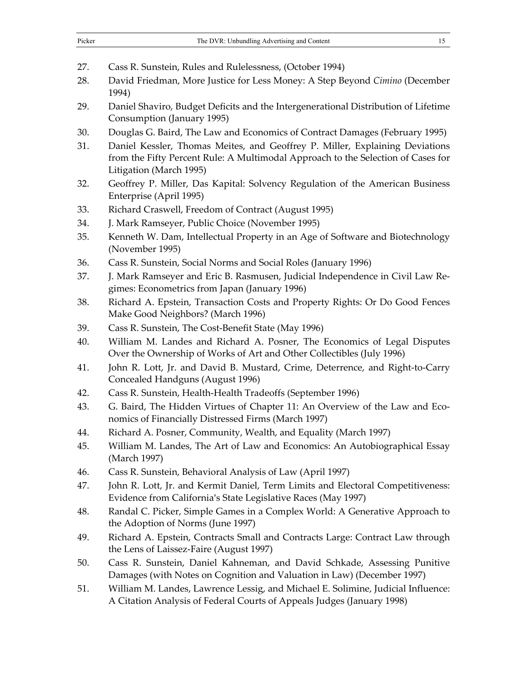| Picker | The DVR: Unbundling Advertising and Content |  |
|--------|---------------------------------------------|--|
|--------|---------------------------------------------|--|

27. Cass R. Sunstein, Rules and Rulelessness, (October 1994)

- 28. David Friedman, More Justice for Less Money: A Step Beyond *Cimino* (December 1994)
- 29. Daniel Shaviro, Budget Deficits and the Intergenerational Distribution of Lifetime Consumption (January 1995)
- 30. Douglas G. Baird, The Law and Economics of Contract Damages (February 1995)
- 31. Daniel Kessler, Thomas Meites, and Geoffrey P. Miller, Explaining Deviations from the Fifty Percent Rule: A Multimodal Approach to the Selection of Cases for Litigation (March 1995)
- 32. Geoffrey P. Miller, Das Kapital: Solvency Regulation of the American Business Enterprise (April 1995)
- 33. Richard Craswell, Freedom of Contract (August 1995)
- 34. J. Mark Ramseyer, Public Choice (November 1995)
- 35. Kenneth W. Dam, Intellectual Property in an Age of Software and Biotechnology (November 1995)
- 36. Cass R. Sunstein, Social Norms and Social Roles (January 1996)
- 37. J. Mark Ramseyer and Eric B. Rasmusen, Judicial Independence in Civil Law Regimes: Econometrics from Japan (January 1996)
- 38. Richard A. Epstein, Transaction Costs and Property Rights: Or Do Good Fences Make Good Neighbors? (March 1996)
- 39. Cass R. Sunstein, The Cost-Benefit State (May 1996)
- 40. William M. Landes and Richard A. Posner, The Economics of Legal Disputes Over the Ownership of Works of Art and Other Collectibles (July 1996)
- 41. John R. Lott, Jr. and David B. Mustard, Crime, Deterrence, and Right-to-Carry Concealed Handguns (August 1996)
- 42. Cass R. Sunstein, Health-Health Tradeoffs (September 1996)
- 43. G. Baird, The Hidden Virtues of Chapter 11: An Overview of the Law and Economics of Financially Distressed Firms (March 1997)
- 44. Richard A. Posner, Community, Wealth, and Equality (March 1997)
- 45. William M. Landes, The Art of Law and Economics: An Autobiographical Essay (March 1997)
- 46. Cass R. Sunstein, Behavioral Analysis of Law (April 1997)
- 47. John R. Lott, Jr. and Kermit Daniel, Term Limits and Electoral Competitiveness: Evidence from California's State Legislative Races (May 1997)
- 48. Randal C. Picker, Simple Games in a Complex World: A Generative Approach to the Adoption of Norms (June 1997)
- 49. Richard A. Epstein, Contracts Small and Contracts Large: Contract Law through the Lens of Laissez-Faire (August 1997)
- 50. Cass R. Sunstein, Daniel Kahneman, and David Schkade, Assessing Punitive Damages (with Notes on Cognition and Valuation in Law) (December 1997)
- 51. William M. Landes, Lawrence Lessig, and Michael E. Solimine, Judicial Influence: A Citation Analysis of Federal Courts of Appeals Judges (January 1998)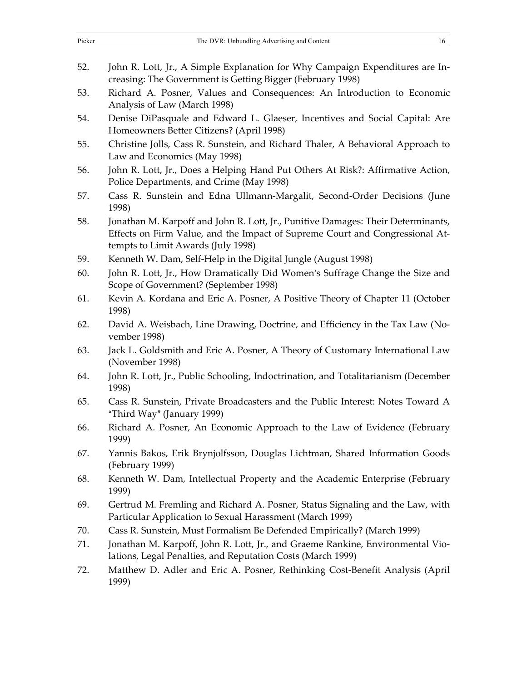| Picker | The DVR: Unbundling Advertising and Content                                   |  |
|--------|-------------------------------------------------------------------------------|--|
|        |                                                                               |  |
| 52.    | John R. Lott, Jr., A Simple Explanation for Why Campaign Expenditures are In- |  |

- creasing: The Government is Getting Bigger (February 1998) 53. Richard A. Posner, Values and Consequences: An Introduction to Economic Analysis of Law (March 1998)
- 54. Denise DiPasquale and Edward L. Glaeser, Incentives and Social Capital: Are Homeowners Better Citizens? (April 1998)
- 55. Christine Jolls, Cass R. Sunstein, and Richard Thaler, A Behavioral Approach to Law and Economics (May 1998)
- 56. John R. Lott, Jr., Does a Helping Hand Put Others At Risk?: Affirmative Action, Police Departments, and Crime (May 1998)
- 57. Cass R. Sunstein and Edna Ullmann-Margalit, Second-Order Decisions (June 1998)
- 58. Jonathan M. Karpoff and John R. Lott, Jr., Punitive Damages: Their Determinants, Effects on Firm Value, and the Impact of Supreme Court and Congressional Attempts to Limit Awards (July 1998)
- 59. Kenneth W. Dam, Self-Help in the Digital Jungle (August 1998)
- 60. John R. Lott, Jr., How Dramatically Did Women's Suffrage Change the Size and Scope of Government? (September 1998)
- 61. Kevin A. Kordana and Eric A. Posner, A Positive Theory of Chapter 11 (October 1998)
- 62. David A. Weisbach, Line Drawing, Doctrine, and Efficiency in the Tax Law (November 1998)
- 63. Jack L. Goldsmith and Eric A. Posner, A Theory of Customary International Law (November 1998)
- 64. John R. Lott, Jr., Public Schooling, Indoctrination, and Totalitarianism (December 1998)
- 65. Cass R. Sunstein, Private Broadcasters and the Public Interest: Notes Toward A "Third Way" (January 1999)
- 66. Richard A. Posner, An Economic Approach to the Law of Evidence (February 1999)
- 67. Yannis Bakos, Erik Brynjolfsson, Douglas Lichtman, Shared Information Goods (February 1999)
- 68. Kenneth W. Dam, Intellectual Property and the Academic Enterprise (February 1999)
- 69. Gertrud M. Fremling and Richard A. Posner, Status Signaling and the Law, with Particular Application to Sexual Harassment (March 1999)
- 70. Cass R. Sunstein, Must Formalism Be Defended Empirically? (March 1999)
- 71. Jonathan M. Karpoff, John R. Lott, Jr., and Graeme Rankine, Environmental Violations, Legal Penalties, and Reputation Costs (March 1999)
- 72. Matthew D. Adler and Eric A. Posner, Rethinking Cost-Benefit Analysis (April 1999)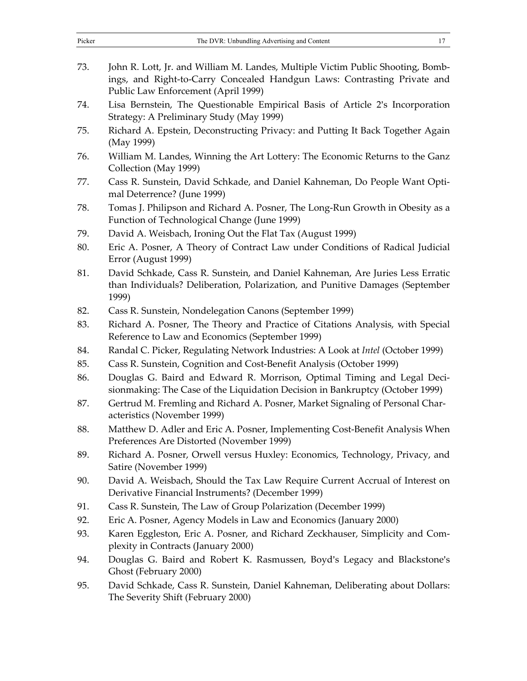| 73. | John R. Lott, Jr. and William M. Landes, Multiple Victim Public Shooting, Bomb-<br>ings, and Right-to-Carry Concealed Handgun Laws: Contrasting Private and<br>Public Law Enforcement (April 1999) |
|-----|----------------------------------------------------------------------------------------------------------------------------------------------------------------------------------------------------|
| 74. | Lisa Bernstein, The Questionable Empirical Basis of Article 2's Incorporation<br>Strategy: A Preliminary Study (May 1999)                                                                          |
| 75. | Richard A. Epstein, Deconstructing Privacy: and Putting It Back Together Again<br>(May 1999)                                                                                                       |
| 76. | William M. Landes, Winning the Art Lottery: The Economic Returns to the Ganz<br>Collection (May 1999)                                                                                              |
| 77. | Cass R. Sunstein, David Schkade, and Daniel Kahneman, Do People Want Opti-<br>mal Deterrence? (June 1999)                                                                                          |
| 78. | Tomas J. Philipson and Richard A. Posner, The Long-Run Growth in Obesity as a<br>Function of Technological Change (June 1999)                                                                      |
| 79. | David A. Weisbach, Ironing Out the Flat Tax (August 1999)                                                                                                                                          |
| 80. | Eric A. Posner, A Theory of Contract Law under Conditions of Radical Judicial<br>Error (August 1999)                                                                                               |
| 81. | David Schkade, Cass R. Sunstein, and Daniel Kahneman, Are Juries Less Erratic<br>than Individuals? Deliberation, Polarization, and Punitive Damages (September<br>1999)                            |
| 82. | Cass R. Sunstein, Nondelegation Canons (September 1999)                                                                                                                                            |
| 83. | Richard A. Posner, The Theory and Practice of Citations Analysis, with Special<br>Reference to Law and Economics (September 1999)                                                                  |
| 84. | Randal C. Picker, Regulating Network Industries: A Look at Intel (October 1999)                                                                                                                    |
| 85. | Cass R. Sunstein, Cognition and Cost-Benefit Analysis (October 1999)                                                                                                                               |
| 86. | Douglas G. Baird and Edward R. Morrison, Optimal Timing and Legal Deci-<br>sionmaking: The Case of the Liquidation Decision in Bankruptcy (October 1999)                                           |
| 87. | Gertrud M. Fremling and Richard A. Posner, Market Signaling of Personal Char-<br>acteristics (November 1999)                                                                                       |
| 88. | Matthew D. Adler and Eric A. Posner, Implementing Cost-Benefit Analysis When<br>Preferences Are Distorted (November 1999)                                                                          |
| 89. | Richard A. Posner, Orwell versus Huxley: Economics, Technology, Privacy, and<br>Satire (November 1999)                                                                                             |
| 90. | David A. Weisbach, Should the Tax Law Require Current Accrual of Interest on<br>Derivative Financial Instruments? (December 1999)                                                                  |
| 91. | Cass R. Sunstein, The Law of Group Polarization (December 1999)                                                                                                                                    |
| 92. | Eric A. Posner, Agency Models in Law and Economics (January 2000)                                                                                                                                  |
| 93. | Karen Eggleston, Eric A. Posner, and Richard Zeckhauser, Simplicity and Com-<br>plexity in Contracts (January 2000)                                                                                |
| 94. | Douglas G. Baird and Robert K. Rasmussen, Boyd's Legacy and Blackstone's<br>Ghost (February 2000)                                                                                                  |
| 95. | David Schkade, Cass R. Sunstein, Daniel Kahneman, Deliberating about Dollars:<br>The Severity Shift (February 2000)                                                                                |
|     |                                                                                                                                                                                                    |

Picker The DVR: Unbundling Advertising and Content 17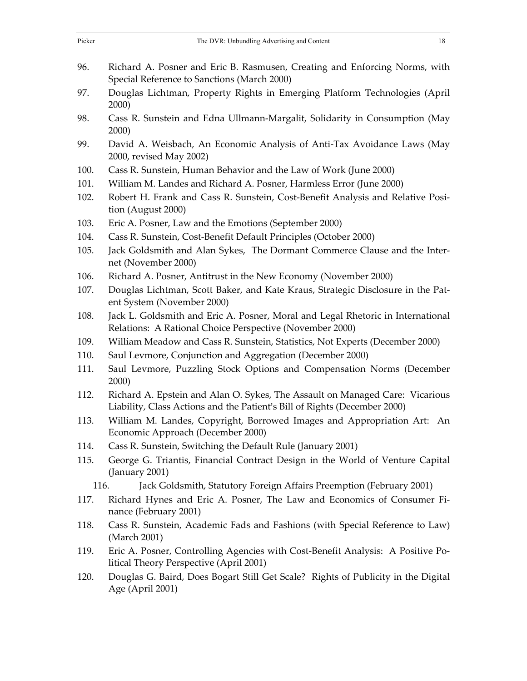| Picker | The DVR: Unbundling Advertising and Content<br>18                                                                                                         |
|--------|-----------------------------------------------------------------------------------------------------------------------------------------------------------|
| 96.    | Richard A. Posner and Eric B. Rasmusen, Creating and Enforcing Norms, with<br>Special Reference to Sanctions (March 2000)                                 |
| 97.    | Douglas Lichtman, Property Rights in Emerging Platform Technologies (April<br>2000)                                                                       |
| 98.    | Cass R. Sunstein and Edna Ullmann-Margalit, Solidarity in Consumption (May<br>2000)                                                                       |
| 99.    | David A. Weisbach, An Economic Analysis of Anti-Tax Avoidance Laws (May<br>2000, revised May 2002)                                                        |
| 100.   | Cass R. Sunstein, Human Behavior and the Law of Work (June 2000)                                                                                          |
| 101.   | William M. Landes and Richard A. Posner, Harmless Error (June 2000)                                                                                       |
| 102.   | Robert H. Frank and Cass R. Sunstein, Cost-Benefit Analysis and Relative Posi-<br>tion (August 2000)                                                      |
| 103.   | Eric A. Posner, Law and the Emotions (September 2000)                                                                                                     |
| 104.   | Cass R. Sunstein, Cost-Benefit Default Principles (October 2000)                                                                                          |
| 105.   | Jack Goldsmith and Alan Sykes, The Dormant Commerce Clause and the Inter-<br>net (November 2000)                                                          |
| 106.   | Richard A. Posner, Antitrust in the New Economy (November 2000)                                                                                           |
| 107.   | Douglas Lichtman, Scott Baker, and Kate Kraus, Strategic Disclosure in the Pat-<br>ent System (November 2000)                                             |
| 108.   | Jack L. Goldsmith and Eric A. Posner, Moral and Legal Rhetoric in International<br>Relations: A Rational Choice Perspective (November 2000)               |
| 109.   | William Meadow and Cass R. Sunstein, Statistics, Not Experts (December 2000)                                                                              |
| 110.   | Saul Levmore, Conjunction and Aggregation (December 2000)                                                                                                 |
| 111.   | Saul Levmore, Puzzling Stock Options and Compensation Norms (December<br>2000)                                                                            |
| 112.   | Richard A. Epstein and Alan O. Sykes, The Assault on Managed Care: Vicarious<br>Liability, Class Actions and the Patient's Bill of Rights (December 2000) |
| 113.   | William M. Landes, Copyright, Borrowed Images and Appropriation Art: An<br>Economic Approach (December 2000)                                              |
| 114.   | Cass R. Sunstein, Switching the Default Rule (January 2001)                                                                                               |
| 115.   | George G. Triantis, Financial Contract Design in the World of Venture Capital<br>(January 2001)                                                           |
| 116.   | Jack Goldsmith, Statutory Foreign Affairs Preemption (February 2001)                                                                                      |
| 117.   | Richard Hynes and Eric A. Posner, The Law and Economics of Consumer Fi-<br>nance (February 2001)                                                          |
| 118.   | Cass R. Sunstein, Academic Fads and Fashions (with Special Reference to Law)<br>(March 2001)                                                              |
| 119.   | Eric A. Posner, Controlling Agencies with Cost-Benefit Analysis: A Positive Po-<br>litical Theory Perspective (April 2001)                                |
| 120.   | Douglas G. Baird, Does Bogart Still Get Scale? Rights of Publicity in the Digital<br>Age (April 2001)                                                     |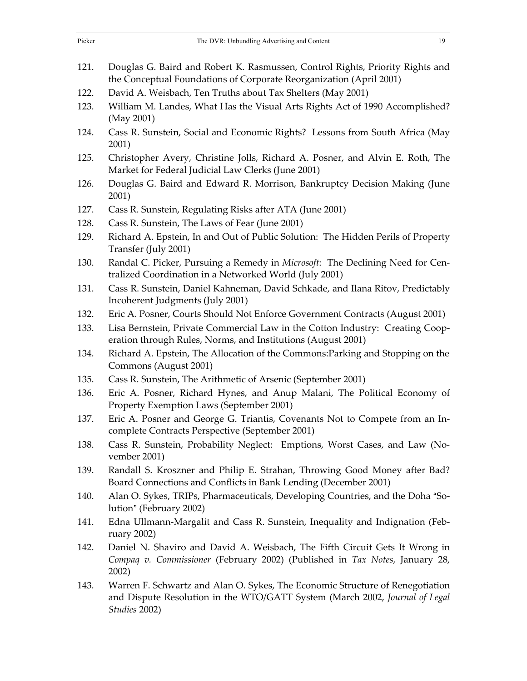| Picker | The DVR: Unbundling Advertising and Content<br>19                                                                                                                             |
|--------|-------------------------------------------------------------------------------------------------------------------------------------------------------------------------------|
| 121.   | Douglas G. Baird and Robert K. Rasmussen, Control Rights, Priority Rights and<br>the Conceptual Foundations of Corporate Reorganization (April 2001)                          |
| 122.   | David A. Weisbach, Ten Truths about Tax Shelters (May 2001)                                                                                                                   |
| 123.   | William M. Landes, What Has the Visual Arts Rights Act of 1990 Accomplished?<br>(May 2001)                                                                                    |
| 124.   | Cass R. Sunstein, Social and Economic Rights? Lessons from South Africa (May<br>2001)                                                                                         |
| 125.   | Christopher Avery, Christine Jolls, Richard A. Posner, and Alvin E. Roth, The<br>Market for Federal Judicial Law Clerks (June 2001)                                           |
| 126.   | Douglas G. Baird and Edward R. Morrison, Bankruptcy Decision Making (June<br>2001)                                                                                            |
| 127.   | Cass R. Sunstein, Regulating Risks after ATA (June 2001)                                                                                                                      |
| 128.   | Cass R. Sunstein, The Laws of Fear (June 2001)                                                                                                                                |
| 129.   | Richard A. Epstein, In and Out of Public Solution: The Hidden Perils of Property<br>Transfer (July 2001)                                                                      |
| 130.   | Randal C. Picker, Pursuing a Remedy in Microsoft: The Declining Need for Cen-<br>tralized Coordination in a Networked World (July 2001)                                       |
| 131.   | Cass R. Sunstein, Daniel Kahneman, David Schkade, and Ilana Ritov, Predictably<br>Incoherent Judgments (July 2001)                                                            |
| 132.   | Eric A. Posner, Courts Should Not Enforce Government Contracts (August 2001)                                                                                                  |
| 133.   | Lisa Bernstein, Private Commercial Law in the Cotton Industry: Creating Coop-<br>eration through Rules, Norms, and Institutions (August 2001)                                 |
| 134.   | Richard A. Epstein, The Allocation of the Commons: Parking and Stopping on the<br>Commons (August 2001)                                                                       |
| 135.   | Cass R. Sunstein, The Arithmetic of Arsenic (September 2001)                                                                                                                  |
| 136.   | Eric A. Posner, Richard Hynes, and Anup Malani, The Political Economy of<br>Property Exemption Laws (September 2001)                                                          |
| 137.   | Eric A. Posner and George G. Triantis, Covenants Not to Compete from an In-<br>complete Contracts Perspective (September 2001)                                                |
| 138.   | Cass R. Sunstein, Probability Neglect: Emptions, Worst Cases, and Law (No-<br>vember 2001)                                                                                    |
| 139.   | Randall S. Kroszner and Philip E. Strahan, Throwing Good Money after Bad?<br>Board Connections and Conflicts in Bank Lending (December 2001)                                  |
| 140.   | Alan O. Sykes, TRIPs, Pharmaceuticals, Developing Countries, and the Doha "So-<br>lution" (February 2002)                                                                     |
| 141.   | Edna Ullmann-Margalit and Cass R. Sunstein, Inequality and Indignation (Feb-<br>ruary $2002$ )                                                                                |
| 142.   | Daniel N. Shaviro and David A. Weisbach, The Fifth Circuit Gets It Wrong in<br>Compaq v. Commissioner (February 2002) (Published in Tax Notes, January 28,<br>2002)           |
| 143.   | Warren F. Schwartz and Alan O. Sykes, The Economic Structure of Renegotiation<br>and Dispute Resolution in the WTO/GATT System (March 2002, Journal of Legal<br>Studies 2002) |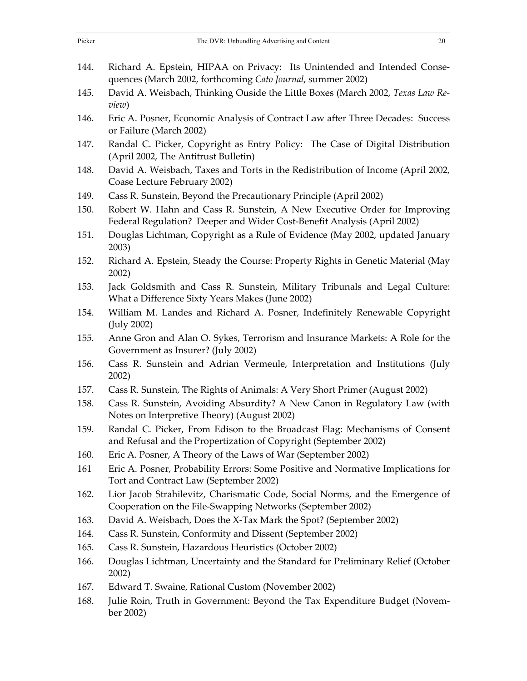| Picker | The DVR: Unbundling Advertising and Content<br>20                                                                                                   |
|--------|-----------------------------------------------------------------------------------------------------------------------------------------------------|
|        |                                                                                                                                                     |
| 144.   | Richard A. Epstein, HIPAA on Privacy: Its Unintended and Intended Conse-<br>quences (March 2002, forthcoming Cato Journal, summer 2002)             |
| 145.   | David A. Weisbach, Thinking Ouside the Little Boxes (March 2002, Texas Law Re-<br>view)                                                             |
| 146.   | Eric A. Posner, Economic Analysis of Contract Law after Three Decades: Success<br>or Failure (March 2002)                                           |
| 147.   | Randal C. Picker, Copyright as Entry Policy: The Case of Digital Distribution<br>(April 2002, The Antitrust Bulletin)                               |
| 148.   | David A. Weisbach, Taxes and Torts in the Redistribution of Income (April 2002,<br>Coase Lecture February 2002)                                     |
| 149.   | Cass R. Sunstein, Beyond the Precautionary Principle (April 2002)                                                                                   |
| 150.   | Robert W. Hahn and Cass R. Sunstein, A New Executive Order for Improving<br>Federal Regulation? Deeper and Wider Cost-Benefit Analysis (April 2002) |
| 151.   | Douglas Lichtman, Copyright as a Rule of Evidence (May 2002, updated January<br>2003)                                                               |
| 152.   | Richard A. Epstein, Steady the Course: Property Rights in Genetic Material (May<br>2002)                                                            |
| 153.   | Jack Goldsmith and Cass R. Sunstein, Military Tribunals and Legal Culture:<br>What a Difference Sixty Years Makes (June 2002)                       |
| 154.   | William M. Landes and Richard A. Posner, Indefinitely Renewable Copyright<br>(July 2002)                                                            |
| 155.   | Anne Gron and Alan O. Sykes, Terrorism and Insurance Markets: A Role for the<br>Government as Insurer? (July 2002)                                  |
| 156.   | Cass R. Sunstein and Adrian Vermeule, Interpretation and Institutions (July<br>2002)                                                                |
| 157.   | Cass R. Sunstein, The Rights of Animals: A Very Short Primer (August 2002)                                                                          |
| 158.   | Cass R. Sunstein, Avoiding Absurdity? A New Canon in Regulatory Law (with<br>Notes on Interpretive Theory) (August 2002)                            |
| 159.   | Randal C. Picker, From Edison to the Broadcast Flag: Mechanisms of Consent<br>and Refusal and the Propertization of Copyright (September 2002)      |
| 160.   | Eric A. Posner, A Theory of the Laws of War (September 2002)                                                                                        |
| 161    | Eric A. Posner, Probability Errors: Some Positive and Normative Implications for<br>Tort and Contract Law (September 2002)                          |
| 162.   | Lior Jacob Strahilevitz, Charismatic Code, Social Norms, and the Emergence of<br>Cooperation on the File-Swapping Networks (September 2002)         |
| 163.   | David A. Weisbach, Does the X-Tax Mark the Spot? (September 2002)                                                                                   |
| 164.   | Cass R. Sunstein, Conformity and Dissent (September 2002)                                                                                           |
| 165.   | Cass R. Sunstein, Hazardous Heuristics (October 2002)                                                                                               |
| 166.   | Douglas Lichtman, Uncertainty and the Standard for Preliminary Relief (October<br>2002)                                                             |
| 167.   | Edward T. Swaine, Rational Custom (November 2002)                                                                                                   |
| 168.   | Julie Roin, Truth in Government: Beyond the Tax Expenditure Budget (Novem-<br>ber 2002)                                                             |
|        |                                                                                                                                                     |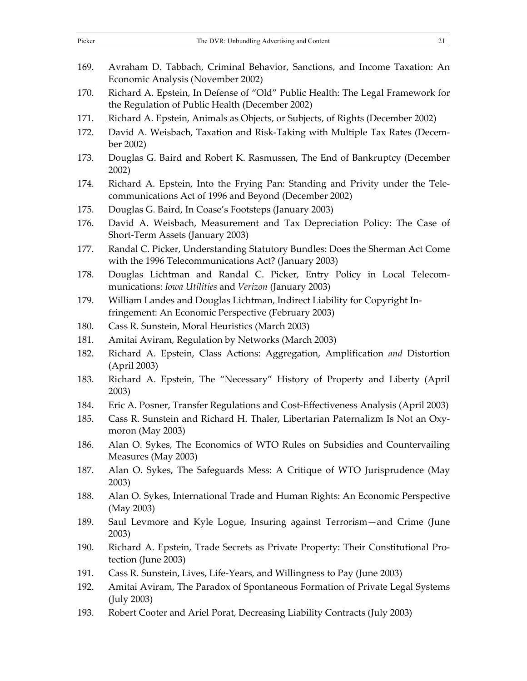| 169. | Avraham D. Tabbach, Criminal Behavior, Sanctions, and Income Taxation: An<br>Economic Analysis (November 2002)                         |
|------|----------------------------------------------------------------------------------------------------------------------------------------|
| 170. | Richard A. Epstein, In Defense of "Old" Public Health: The Legal Framework for<br>the Regulation of Public Health (December 2002)      |
| 171. | Richard A. Epstein, Animals as Objects, or Subjects, of Rights (December 2002)                                                         |
| 172. | David A. Weisbach, Taxation and Risk-Taking with Multiple Tax Rates (Decem-<br>ber 2002)                                               |
| 173. | Douglas G. Baird and Robert K. Rasmussen, The End of Bankruptcy (December<br>2002)                                                     |
| 174. | Richard A. Epstein, Into the Frying Pan: Standing and Privity under the Tele-<br>communications Act of 1996 and Beyond (December 2002) |
| 175. | Douglas G. Baird, In Coase's Footsteps (January 2003)                                                                                  |
| 176. | David A. Weisbach, Measurement and Tax Depreciation Policy: The Case of<br>Short-Term Assets (January 2003)                            |
| 177. | Randal C. Picker, Understanding Statutory Bundles: Does the Sherman Act Come<br>with the 1996 Telecommunications Act? (January 2003)   |
| 178. | Douglas Lichtman and Randal C. Picker, Entry Policy in Local Telecom-<br>munications: Iowa Utilities and Verizon (January 2003)        |
| 179. | William Landes and Douglas Lichtman, Indirect Liability for Copyright In-<br>fringement: An Economic Perspective (February 2003)       |
| 180. | Cass R. Sunstein, Moral Heuristics (March 2003)                                                                                        |
| 181. | Amitai Aviram, Regulation by Networks (March 2003)                                                                                     |
| 182. | Richard A. Epstein, Class Actions: Aggregation, Amplification and Distortion<br>(April 2003)                                           |
| 183. | Richard A. Epstein, The "Necessary" History of Property and Liberty (April<br>2003)                                                    |
| 184. | Eric A. Posner, Transfer Regulations and Cost-Effectiveness Analysis (April 2003)                                                      |
| 185. | Cass R. Sunstein and Richard H. Thaler, Libertarian Paternalizm Is Not an Oxy-<br>moron (May 2003)                                     |
| 186. | Alan O. Sykes, The Economics of WTO Rules on Subsidies and Countervailing<br>Measures (May 2003)                                       |
| 187. | Alan O. Sykes, The Safeguards Mess: A Critique of WTO Jurisprudence (May<br>2003)                                                      |
| 188. | Alan O. Sykes, International Trade and Human Rights: An Economic Perspective<br>(May 2003)                                             |
| 189. | Saul Levmore and Kyle Logue, Insuring against Terrorism-and Crime (June<br>2003)                                                       |
| 190. | Richard A. Epstein, Trade Secrets as Private Property: Their Constitutional Pro-<br>tection (June 2003)                                |
| 191. | Cass R. Sunstein, Lives, Life-Years, and Willingness to Pay (June 2003)                                                                |
| 192. | Amitai Aviram, The Paradox of Spontaneous Formation of Private Legal Systems<br>(July 2003)                                            |
| 193. | Robert Cooter and Ariel Porat, Decreasing Liability Contracts (July 2003)                                                              |

Picker The DVR: Unbundling Advertising and Content 21